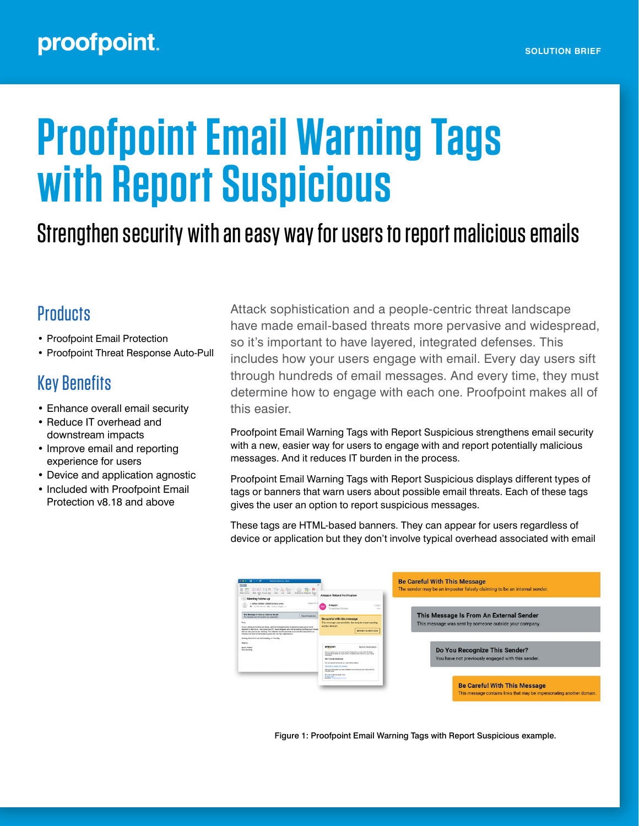# **Proofpoint Email Warning Tags with Report Suspicious**

## Strengthen security with an easy way for users to report malicious emails

### **Products**

- Proofpoint Email Protection
- Proofpoint Threat Response Auto-Pull

## Key Benefits

- Enhance overall email security
- Reduce IT overhead and downstream impacts
- Improve email and reporting experience for users
- Device and application agnostic
- Included with Proofpoint Email Protection v8.18 and above

Attack sophistication and a people-centric threat landscape have made email-based threats more pervasive and widespread, so it's important to have layered, integrated defenses. This includes how your users engage with email. Every day users sift through hundreds of email messages. And every time, they must determine how to engage with each one. Proofpoint makes all of this easier.

Proofpoint Email Warning Tags with Report Suspicious strengthens email security with a new, easier way for users to engage with and report potentially malicious messages. And it reduces IT burden in the process.

Proofpoint Email Warning Tags with Report Suspicious displays different types of tags or banners that warn users about possible email threats. Each of these tags gives the user an option to report suspicious messages.

These tags are HTML-based banners. They can appear for users regardless of device or application but they don't involve typical overhead associated with email

| <b>Mosting follow art - Intern</b><br>開い取り<br>$\begin{bmatrix} \nabla^2 \cdot \nabla^2 \cdot \nabla^2 \cdot \nabla \cdot \nabla \cdot \nabla \cdot \nabla \cdot \nabla \cdot \nabla \cdot \nabla \cdot \nabla \cdot \nabla \cdot \nabla \cdot \nabla \cdot \nabla \cdot \nabla \cdot \nabla \cdot \nabla \cdot \nabla \cdot \nabla \cdot \nabla \cdot \nabla \cdot \nabla \cdot \nabla \cdot \nabla \cdot \nabla \cdot \nabla \cdot \nabla \cdot \nabla \cdot \nabla \cdot \nabla \cdot \nabla \cdot \nabla \cdot \nabla \cdot \nabla$<br>Meeting follow-up | Amazon Refund Notification                                                                                                                                                                                                                                                                                                       | <b>Be Careful With This Message</b><br>The sender may be an imposter falsely claiming to be an internal sender. |
|-------------------------------------------------------------------------------------------------------------------------------------------------------------------------------------------------------------------------------------------------------------------------------------------------------------------------------------------------------------------------------------------------------------------------------------------------------------------------------------------------------------------------------------------------------------|----------------------------------------------------------------------------------------------------------------------------------------------------------------------------------------------------------------------------------------------------------------------------------------------------------------------------------|-----------------------------------------------------------------------------------------------------------------|
| <b>Barbacie armid</b><br>· James Heiden <iim@rscicers.com><br/>The in Ford Johnson, Call in Harry Handle, in</iim@rscicers.com>                                                                                                                                                                                                                                                                                                                                                                                                                             | Amazon<br>15309<br>Andrew Nedson<br>1.1                                                                                                                                                                                                                                                                                          |                                                                                                                 |
| This Message is Fram an Faternal Sender<br><b>Report Suspicious</b><br>This message care from autoce your organization.                                                                                                                                                                                                                                                                                                                                                                                                                                     | Be careful with this message<br>This message contains links that may be impersonating<br>another domain.<br><b>REPORT SUSPICIOUS</b>                                                                                                                                                                                             | This Message Is From An External Sender<br>This message was sent by someone outside your company.               |
| fred<br>plansing reaching you looking and I am business forward by excitating wind you can be write<br><b>Branch</b><br>treether in the future. For mailed our CTD. Name Hazata, who will be business as that durationals.<br>that we chronized in our meeting. This initiative has the automated to be transformational for our<br>industry and lead to tremmition success for our two organizations.<br>Leolong forward to our next meeting on Thursday<br><b>Branch</b><br><b><i>ENGINE TRIBBIN</i></b><br><b>CEO, Radioano</b>                          |                                                                                                                                                                                                                                                                                                                                  |                                                                                                                 |
|                                                                                                                                                                                                                                                                                                                                                                                                                                                                                                                                                             | amazon<br>Relind Not Scylion<br>Due to a substitute your years double charged for your last critic. A refund-<br>ensures was inflated for road held be considered due to arrow in your billion.<br>information.<br>FIEF CODE-2556COE<br>The arts rangulard to provide your valid telling address<br>Clinton by Group Way Address | Do You Recognize This Sender?<br>You have not previously engaged with this sender.                              |
|                                                                                                                                                                                                                                                                                                                                                                                                                                                                                                                                                             | Pfor your information has been railibled you should get your refund within 3<br><b>Instrume data</b><br>We have been you much score<br><b>Britannich Ad</b><br><b>Break Kit</b>                                                                                                                                                  | <b>Be Careful With This Message</b><br>This message contains links that may be impersonating another domain.    |

Figure 1: Proofpoint Email Warning Tags with Report Suspicious example.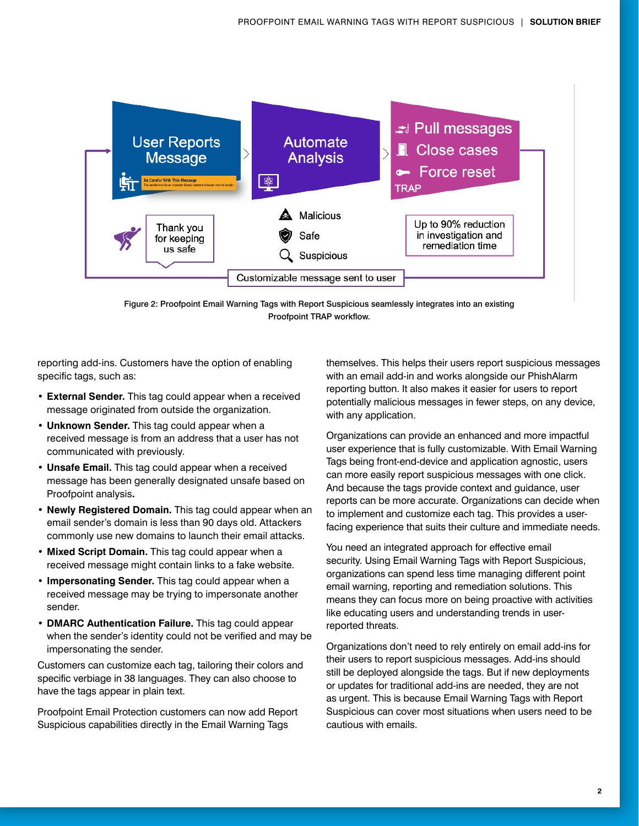

Figure 2: Proofpoint Email Warning Tags with Report Suspicious seamlessly integrates into an existing Proofpoint TRAP workflow.

reporting add-ins. Customers have the option of enabling specific tags, such as:

- **• External Sender.** This tag could appear when a received message originated from outside the organization.
- **• Unknown Sender.** This tag could appear when a received message is from an address that a user has not communicated with previously.
- **• Unsafe Email.** This tag could appear when a received message has been generally designated unsafe based on Proofpoint analysis**.**
- **• Newly Registered Domain.** This tag could appear when an email sender's domain is less than 90 days old. Attackers commonly use new domains to launch their email attacks.
- **• Mixed Script Domain.** This tag could appear when a received message might contain links to a fake website.
- **• Impersonating Sender.** This tag could appear when a received message may be trying to impersonate another sender.
- **• DMARC Authentication Failure.** This tag could appear when the sender's identity could not be verified and may be impersonating the sender.

Customers can customize each tag, tailoring their colors and specific verbiage in 38 languages. They can also choose to have the tags appear in plain text.

Proofpoint Email Protection customers can now add Report Suspicious capabilities directly in the Email Warning Tags

themselves. This helps their users report suspicious messages with an email add-in and works alongside our PhishAlarm reporting button. It also makes it easier for users to report potentially malicious messages in fewer steps, on any device, with any application.

Organizations can provide an enhanced and more impactful user experience that is fully customizable. With Email Warning Tags being front-end-device and application agnostic, users can more easily report suspicious messages with one click. And because the tags provide context and guidance, user reports can be more accurate. Organizations can decide when to implement and customize each tag. This provides a userfacing experience that suits their culture and immediate needs.

You need an integrated approach for effective email security. Using Email Warning Tags with Report Suspicious, organizations can spend less time managing different point email warning, reporting and remediation solutions. This means they can focus more on being proactive with activities like educating users and understanding trends in userreported threats.

Organizations don't need to rely entirely on email add-ins for their users to report suspicious messages. Add-ins should still be deployed alongside the tags. But if new deployments or updates for traditional add-ins are needed, they are not as urgent. This is because Email Warning Tags with Report Suspicious can cover most situations when users need to be cautious with emails.